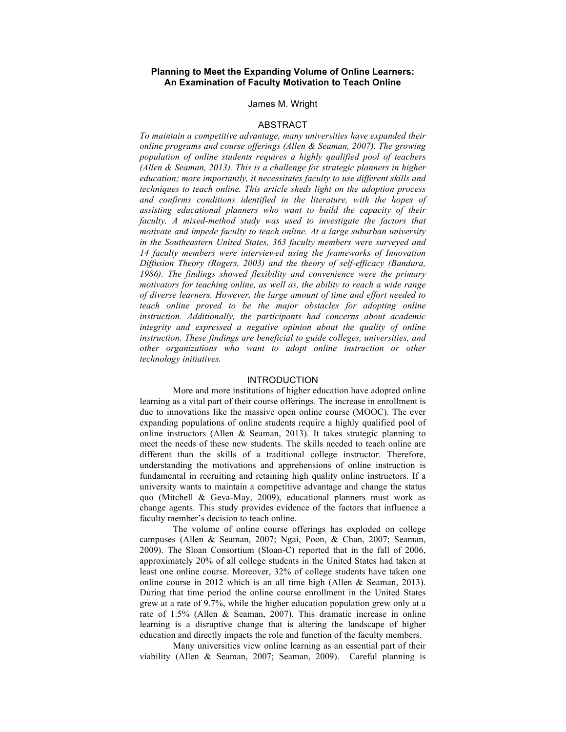# **Planning to Meet the Expanding Volume of Online Learners: An Examination of Faculty Motivation to Teach Online**

#### James M. Wright

#### ABSTRACT

*To maintain a competitive advantage, many universities have expanded their online programs and course offerings (Allen & Seaman, 2007). The growing population of online students requires a highly qualified pool of teachers (Allen & Seaman, 2013). This is a challenge for strategic planners in higher education; more importantly, it necessitates faculty to use different skills and techniques to teach online. This article sheds light on the adoption process and confirms conditions identified in the literature, with the hopes of assisting educational planners who want to build the capacity of their faculty. A mixed-method study was used to investigate the factors that motivate and impede faculty to teach online. At a large suburban university in the Southeastern United States, 363 faculty members were surveyed and 14 faculty members were interviewed using the frameworks of Innovation Diffusion Theory (Rogers, 2003) and the theory of self-efficacy (Bandura, 1986). The findings showed flexibility and convenience were the primary motivators for teaching online, as well as, the ability to reach a wide range of diverse learners. However, the large amount of time and effort needed to teach online proved to be the major obstacles for adopting online instruction. Additionally, the participants had concerns about academic integrity and expressed a negative opinion about the quality of online instruction. These findings are beneficial to guide colleges, universities, and other organizations who want to adopt online instruction or other technology initiatives.* 

#### INTRODUCTION

More and more institutions of higher education have adopted online learning as a vital part of their course offerings. The increase in enrollment is due to innovations like the massive open online course (MOOC). The ever expanding populations of online students require a highly qualified pool of online instructors (Allen & Seaman, 2013). It takes strategic planning to meet the needs of these new students. The skills needed to teach online are different than the skills of a traditional college instructor. Therefore, understanding the motivations and apprehensions of online instruction is fundamental in recruiting and retaining high quality online instructors. If a university wants to maintain a competitive advantage and change the status quo (Mitchell & Geva-May, 2009), educational planners must work as change agents. This study provides evidence of the factors that influence a faculty member's decision to teach online.

The volume of online course offerings has exploded on college campuses (Allen & Seaman, 2007; Ngai, Poon, & Chan, 2007; Seaman, 2009). The Sloan Consortium (Sloan-C) reported that in the fall of 2006, approximately 20% of all college students in the United States had taken at least one online course. Moreover, 32% of college students have taken one online course in 2012 which is an all time high (Allen & Seaman, 2013). During that time period the online course enrollment in the United States grew at a rate of 9.7%, while the higher education population grew only at a rate of 1.5% (Allen & Seaman, 2007). This dramatic increase in online learning is a disruptive change that is altering the landscape of higher education and directly impacts the role and function of the faculty members.

Many universities view online learning as an essential part of their viability (Allen & Seaman, 2007; Seaman, 2009). Careful planning is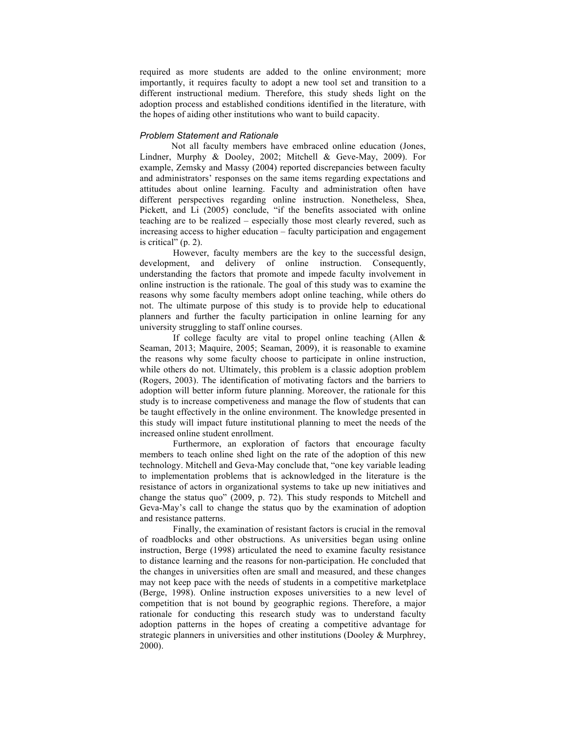required as more students are added to the online environment; more importantly, it requires faculty to adopt a new tool set and transition to a different instructional medium. Therefore, this study sheds light on the adoption process and established conditions identified in the literature, with the hopes of aiding other institutions who want to build capacity.

#### *Problem Statement and Rationale*

Not all faculty members have embraced online education (Jones, Lindner, Murphy & Dooley, 2002; Mitchell & Geve-May, 2009). For example, Zemsky and Massy (2004) reported discrepancies between faculty and administrators' responses on the same items regarding expectations and attitudes about online learning. Faculty and administration often have different perspectives regarding online instruction. Nonetheless, Shea, Pickett, and Li (2005) conclude, "if the benefits associated with online teaching are to be realized – especially those most clearly revered, such as increasing access to higher education – faculty participation and engagement is critical" (p. 2).

However, faculty members are the key to the successful design, development, and delivery of online instruction. Consequently, understanding the factors that promote and impede faculty involvement in online instruction is the rationale. The goal of this study was to examine the reasons why some faculty members adopt online teaching, while others do not. The ultimate purpose of this study is to provide help to educational planners and further the faculty participation in online learning for any university struggling to staff online courses.

If college faculty are vital to propel online teaching (Allen & Seaman, 2013; Maquire, 2005; Seaman, 2009), it is reasonable to examine the reasons why some faculty choose to participate in online instruction, while others do not. Ultimately, this problem is a classic adoption problem (Rogers, 2003). The identification of motivating factors and the barriers to adoption will better inform future planning. Moreover, the rationale for this study is to increase competiveness and manage the flow of students that can be taught effectively in the online environment. The knowledge presented in this study will impact future institutional planning to meet the needs of the increased online student enrollment.

Furthermore, an exploration of factors that encourage faculty members to teach online shed light on the rate of the adoption of this new technology. Mitchell and Geva-May conclude that, "one key variable leading to implementation problems that is acknowledged in the literature is the resistance of actors in organizational systems to take up new initiatives and change the status quo" (2009, p. 72). This study responds to Mitchell and Geva-May's call to change the status quo by the examination of adoption and resistance patterns.

Finally, the examination of resistant factors is crucial in the removal of roadblocks and other obstructions. As universities began using online instruction, Berge (1998) articulated the need to examine faculty resistance to distance learning and the reasons for non-participation. He concluded that the changes in universities often are small and measured, and these changes may not keep pace with the needs of students in a competitive marketplace (Berge, 1998). Online instruction exposes universities to a new level of competition that is not bound by geographic regions. Therefore, a major rationale for conducting this research study was to understand faculty adoption patterns in the hopes of creating a competitive advantage for strategic planners in universities and other institutions (Dooley & Murphrey, 2000).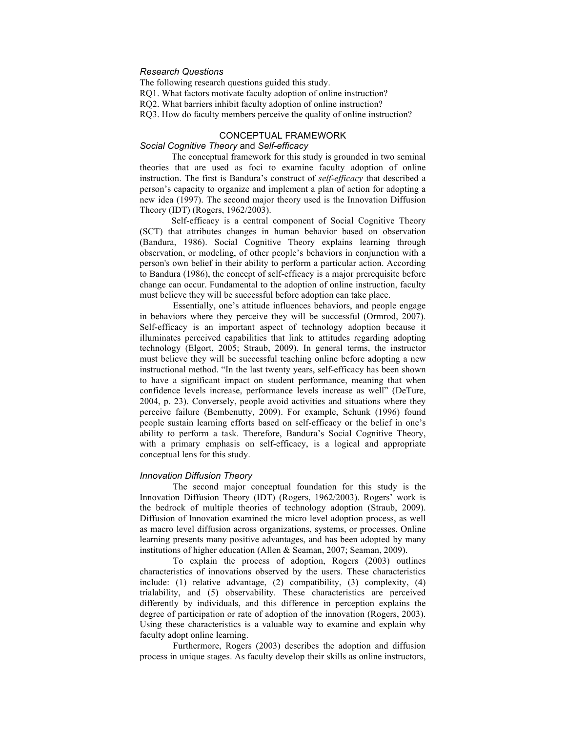# *Research Questions*

The following research questions guided this study. RQ1. What factors motivate faculty adoption of online instruction?

RQ2. What barriers inhibit faculty adoption of online instruction?

RQ3. How do faculty members perceive the quality of online instruction?

# CONCEPTUAL FRAMEWORK *Social Cognitive Theory* and *Self-efficacy*

The conceptual framework for this study is grounded in two seminal theories that are used as foci to examine faculty adoption of online instruction. The first is Bandura's construct of *self-efficacy* that described a person's capacity to organize and implement a plan of action for adopting a new idea (1997). The second major theory used is the Innovation Diffusion Theory (IDT) (Rogers, 1962/2003).

Self-efficacy is a central component of Social Cognitive Theory (SCT) that attributes changes in human behavior based on observation (Bandura, 1986). Social Cognitive Theory explains learning through observation, or modeling, of other people's behaviors in conjunction with a person's own belief in their ability to perform a particular action. According to Bandura (1986), the concept of self-efficacy is a major prerequisite before change can occur. Fundamental to the adoption of online instruction, faculty must believe they will be successful before adoption can take place.

Essentially, one's attitude influences behaviors, and people engage in behaviors where they perceive they will be successful (Ormrod, 2007). Self-efficacy is an important aspect of technology adoption because it illuminates perceived capabilities that link to attitudes regarding adopting technology (Elgort, 2005; Straub, 2009). In general terms, the instructor must believe they will be successful teaching online before adopting a new instructional method. "In the last twenty years, self-efficacy has been shown to have a significant impact on student performance, meaning that when confidence levels increase, performance levels increase as well" (DeTure, 2004, p. 23). Conversely, people avoid activities and situations where they perceive failure (Bembenutty, 2009). For example, Schunk (1996) found people sustain learning efforts based on self-efficacy or the belief in one's ability to perform a task. Therefore, Bandura's Social Cognitive Theory, with a primary emphasis on self-efficacy, is a logical and appropriate conceptual lens for this study.

#### *Innovation Diffusion Theory*

The second major conceptual foundation for this study is the Innovation Diffusion Theory (IDT) (Rogers, 1962/2003). Rogers' work is the bedrock of multiple theories of technology adoption (Straub, 2009). Diffusion of Innovation examined the micro level adoption process, as well as macro level diffusion across organizations, systems, or processes. Online learning presents many positive advantages, and has been adopted by many institutions of higher education (Allen & Seaman, 2007; Seaman, 2009).

To explain the process of adoption, Rogers (2003) outlines characteristics of innovations observed by the users. These characteristics include: (1) relative advantage, (2) compatibility, (3) complexity, (4) trialability, and (5) observability. These characteristics are perceived differently by individuals, and this difference in perception explains the degree of participation or rate of adoption of the innovation (Rogers, 2003). Using these characteristics is a valuable way to examine and explain why faculty adopt online learning.

Furthermore, Rogers (2003) describes the adoption and diffusion process in unique stages. As faculty develop their skills as online instructors,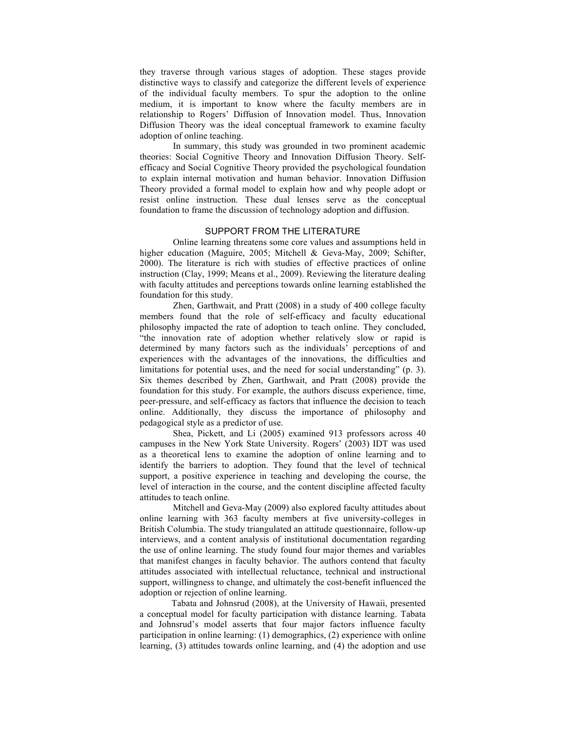they traverse through various stages of adoption. These stages provide distinctive ways to classify and categorize the different levels of experience of the individual faculty members. To spur the adoption to the online medium, it is important to know where the faculty members are in relationship to Rogers' Diffusion of Innovation model. Thus, Innovation Diffusion Theory was the ideal conceptual framework to examine faculty adoption of online teaching.

In summary, this study was grounded in two prominent academic theories: Social Cognitive Theory and Innovation Diffusion Theory. Selfefficacy and Social Cognitive Theory provided the psychological foundation to explain internal motivation and human behavior. Innovation Diffusion Theory provided a formal model to explain how and why people adopt or resist online instruction. These dual lenses serve as the conceptual foundation to frame the discussion of technology adoption and diffusion.

### SUPPORT FROM THE LITERATURE

Online learning threatens some core values and assumptions held in higher education (Maguire, 2005; Mitchell & Geva-May, 2009; Schifter, 2000). The literature is rich with studies of effective practices of online instruction (Clay, 1999; Means et al., 2009). Reviewing the literature dealing with faculty attitudes and perceptions towards online learning established the foundation for this study.

Zhen, Garthwait, and Pratt (2008) in a study of 400 college faculty members found that the role of self-efficacy and faculty educational philosophy impacted the rate of adoption to teach online. They concluded, "the innovation rate of adoption whether relatively slow or rapid is determined by many factors such as the individuals' perceptions of and experiences with the advantages of the innovations, the difficulties and limitations for potential uses, and the need for social understanding" (p. 3). Six themes described by Zhen, Garthwait, and Pratt (2008) provide the foundation for this study. For example, the authors discuss experience, time, peer-pressure, and self-efficacy as factors that influence the decision to teach online. Additionally, they discuss the importance of philosophy and pedagogical style as a predictor of use.

Shea, Pickett, and Li (2005) examined 913 professors across 40 campuses in the New York State University. Rogers' (2003) IDT was used as a theoretical lens to examine the adoption of online learning and to identify the barriers to adoption. They found that the level of technical support, a positive experience in teaching and developing the course, the level of interaction in the course, and the content discipline affected faculty attitudes to teach online.

Mitchell and Geva-May (2009) also explored faculty attitudes about online learning with 363 faculty members at five university-colleges in British Columbia. The study triangulated an attitude questionnaire, follow-up interviews, and a content analysis of institutional documentation regarding the use of online learning. The study found four major themes and variables that manifest changes in faculty behavior. The authors contend that faculty attitudes associated with intellectual reluctance, technical and instructional support, willingness to change, and ultimately the cost-benefit influenced the adoption or rejection of online learning.

Tabata and Johnsrud (2008), at the University of Hawaii, presented a conceptual model for faculty participation with distance learning. Tabata and Johnsrud's model asserts that four major factors influence faculty participation in online learning: (1) demographics, (2) experience with online learning, (3) attitudes towards online learning, and (4) the adoption and use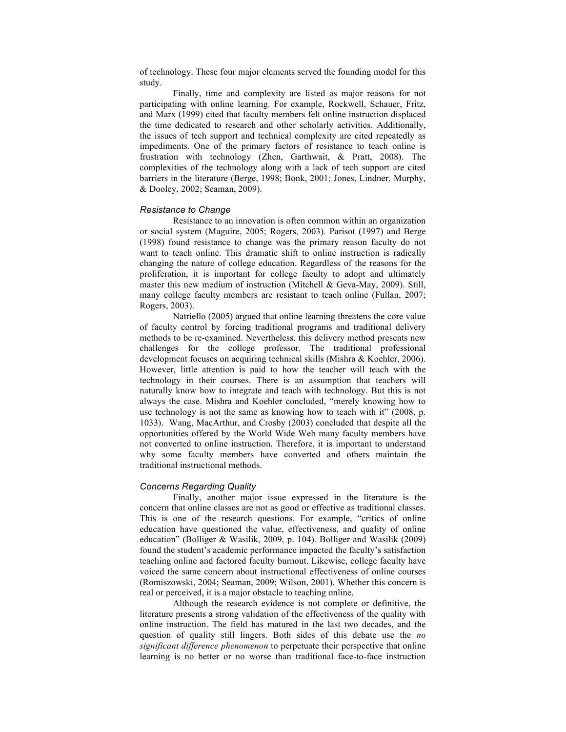of technology. These four major elements served the founding model for this study.

Finally, time and complexity are listed as major reasons for not participating with online learning. For example, Rockwell, Schauer, Fritz, and Marx (1999) cited that faculty members felt online instruction displaced the time dedicated to research and other scholarly activities. Additionally, the issues of tech support and technical complexity are cited repeatedly as impediments. One of the primary factors of resistance to teach online is frustration with technology (Zhen, Garthwait, & Pratt, 2008). The complexities of the technology along with a lack of tech support are cited barriers in the literature (Berge, 1998; Bonk, 2001; Jones, Lindner, Murphy, & Dooley, 2002; Seaman, 2009).

# *Resistance to Change*

Resistance to an innovation is often common within an organization or social system (Maguire, 2005; Rogers, 2003). Parisot (1997) and Berge (1998) found resistance to change was the primary reason faculty do not want to teach online. This dramatic shift to online instruction is radically changing the nature of college education. Regardless of the reasons for the proliferation, it is important for college faculty to adopt and ultimately master this new medium of instruction (Mitchell & Geva-May, 2009). Still, many college faculty members are resistant to teach online (Fullan, 2007; Rogers, 2003).

Natriello (2005) argued that online learning threatens the core value of faculty control by forcing traditional programs and traditional delivery methods to be re-examined. Nevertheless, this delivery method presents new challenges for the college professor. The traditional professional development focuses on acquiring technical skills (Mishra & Koehler, 2006). However, little attention is paid to how the teacher will teach with the technology in their courses. There is an assumption that teachers will naturally know how to integrate and teach with technology. But this is not always the case. Mishra and Koehler concluded, "merely knowing how to use technology is not the same as knowing how to teach with it" (2008, p. 1033). Wang, MacArthur, and Crosby (2003) concluded that despite all the opportunities offered by the World Wide Web many faculty members have not converted to online instruction. Therefore, it is important to understand why some faculty members have converted and others maintain the traditional instructional methods.

#### *Concerns Regarding Quality*

Finally, another major issue expressed in the literature is the concern that online classes are not as good or effective as traditional classes. This is one of the research questions. For example, "critics of online education have questioned the value, effectiveness, and quality of online education" (Bolliger & Wasilik, 2009, p. 104). Bolliger and Wasilik (2009) found the student's academic performance impacted the faculty's satisfaction teaching online and factored faculty burnout. Likewise, college faculty have voiced the same concern about instructional effectiveness of online courses (Romiszowski, 2004; Seaman, 2009; Wilson, 2001). Whether this concern is real or perceived, it is a major obstacle to teaching online.

Although the research evidence is not complete or definitive, the literature presents a strong validation of the effectiveness of the quality with online instruction. The field has matured in the last two decades, and the question of quality still lingers. Both sides of this debate use the *no significant difference phenomenon* to perpetuate their perspective that online learning is no better or no worse than traditional face-to-face instruction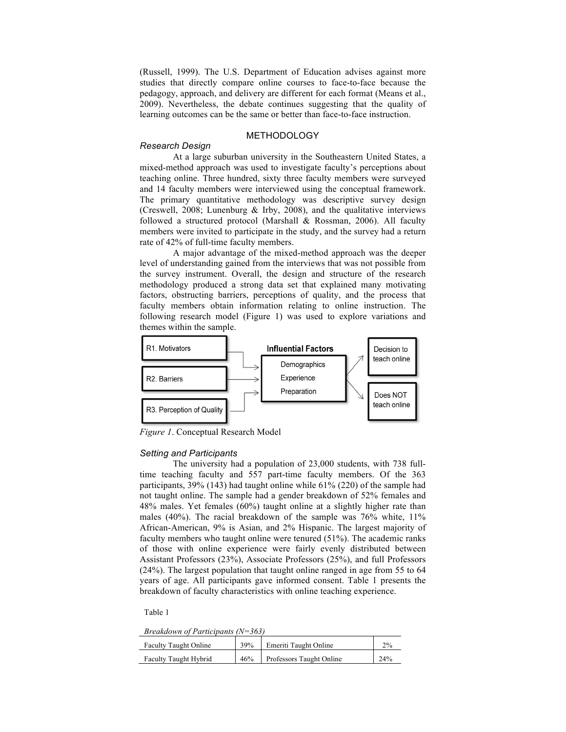(Russell, 1999). The U.S. Department of Education advises against more studies that directly compare online courses to face-to-face because the pedagogy, approach, and delivery are different for each format (Means et al., 2009). Nevertheless, the debate continues suggesting that the quality of learning outcomes can be the same or better than face-to-face instruction.

# METHODOLOGY

#### *Research Design*

At a large suburban university in the Southeastern United States, a mixed-method approach was used to investigate faculty's perceptions about teaching online. Three hundred, sixty three faculty members were surveyed and 14 faculty members were interviewed using the conceptual framework. The primary quantitative methodology was descriptive survey design (Creswell, 2008; Lunenburg & Irby, 2008), and the qualitative interviews followed a structured protocol (Marshall & Rossman, 2006). All faculty members were invited to participate in the study, and the survey had a return rate of 42% of full-time faculty members.

A major advantage of the mixed-method approach was the deeper level of understanding gained from the interviews that was not possible from the survey instrument. Overall, the design and structure of the research methodology produced a strong data set that explained many motivating factors, obstructing barriers, perceptions of quality, and the process that faculty members obtain information relating to online instruction. The following research model (Figure 1) was used to explore variations and themes within the sample.



*Figure 1*. Conceptual Research Model

#### *Setting and Participants*

The university had a population of 23,000 students, with 738 fulltime teaching faculty and 557 part-time faculty members. Of the 363 participants, 39% (143) had taught online while 61% (220) of the sample had not taught online. The sample had a gender breakdown of 52% females and 48% males. Yet females (60%) taught online at a slightly higher rate than males (40%). The racial breakdown of the sample was 76% white, 11% African-American, 9% is Asian, and 2% Hispanic. The largest majority of faculty members who taught online were tenured (51%). The academic ranks of those with online experience were fairly evenly distributed between Assistant Professors (23%), Associate Professors (25%), and full Professors (24%). The largest population that taught online ranged in age from 55 to 64 years of age. All participants gave informed consent. Table 1 presents the breakdown of faculty characteristics with online teaching experience.

Table 1

*Breakdown of Participants (N=363)*

| <b>Faculty Taught Online</b> | 39% | Emeriti Taught Online    | 2%  |
|------------------------------|-----|--------------------------|-----|
| <b>Faculty Taught Hybrid</b> | 46% | Professors Taught Online | 24% |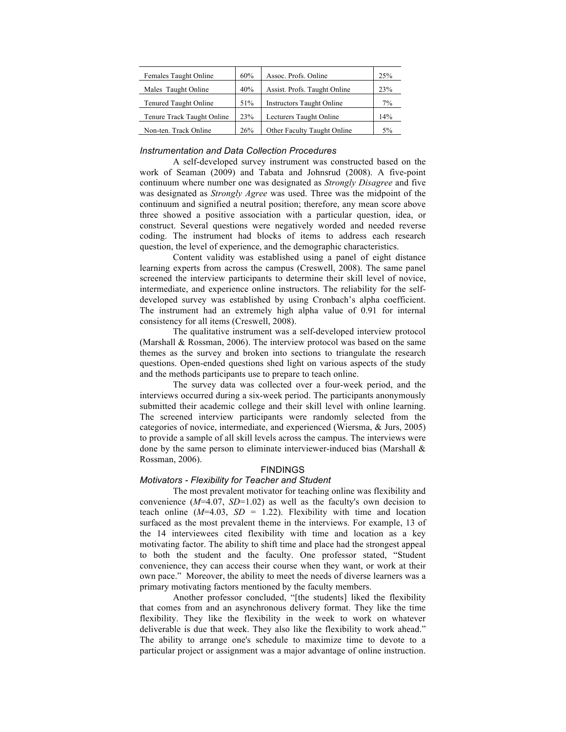| 60% | Assoc. Profs. Online             | 25%                     |
|-----|----------------------------------|-------------------------|
| 40% | Assist. Profs. Taught Online     | 23%                     |
| 51% | <b>Instructors Taught Online</b> | 7%                      |
| 23% |                                  | 14%                     |
| 26% | Other Faculty Taught Online      | 5%                      |
|     |                                  | Lecturers Taught Online |

#### *Instrumentation and Data Collection Procedures*

A self-developed survey instrument was constructed based on the work of Seaman (2009) and Tabata and Johnsrud (2008). A five-point continuum where number one was designated as *Strongly Disagree* and five was designated as *Strongly Agree* was used. Three was the midpoint of the continuum and signified a neutral position; therefore, any mean score above three showed a positive association with a particular question, idea, or construct. Several questions were negatively worded and needed reverse coding. The instrument had blocks of items to address each research question, the level of experience, and the demographic characteristics.

Content validity was established using a panel of eight distance learning experts from across the campus (Creswell, 2008). The same panel screened the interview participants to determine their skill level of novice, intermediate, and experience online instructors. The reliability for the selfdeveloped survey was established by using Cronbach's alpha coefficient. The instrument had an extremely high alpha value of 0.91 for internal consistency for all items (Creswell, 2008).

The qualitative instrument was a self-developed interview protocol (Marshall & Rossman, 2006). The interview protocol was based on the same themes as the survey and broken into sections to triangulate the research questions. Open-ended questions shed light on various aspects of the study and the methods participants use to prepare to teach online.

The survey data was collected over a four-week period, and the interviews occurred during a six-week period. The participants anonymously submitted their academic college and their skill level with online learning. The screened interview participants were randomly selected from the categories of novice, intermediate, and experienced (Wiersma, & Jurs, 2005) to provide a sample of all skill levels across the campus. The interviews were done by the same person to eliminate interviewer-induced bias (Marshall & Rossman, 2006).

# FINDINGS

### *Motivators - Flexibility for Teacher and Student*

The most prevalent motivator for teaching online was flexibility and convenience (*M*=4.07, *SD*=1.02) as well as the faculty's own decision to teach online  $(M=4.03, SD = 1.22)$ . Flexibility with time and location surfaced as the most prevalent theme in the interviews. For example, 13 of the 14 interviewees cited flexibility with time and location as a key motivating factor. The ability to shift time and place had the strongest appeal to both the student and the faculty. One professor stated, "Student convenience, they can access their course when they want, or work at their own pace." Moreover, the ability to meet the needs of diverse learners was a primary motivating factors mentioned by the faculty members.

Another professor concluded, "[the students] liked the flexibility that comes from and an asynchronous delivery format. They like the time flexibility. They like the flexibility in the week to work on whatever deliverable is due that week. They also like the flexibility to work ahead." The ability to arrange one's schedule to maximize time to devote to a particular project or assignment was a major advantage of online instruction.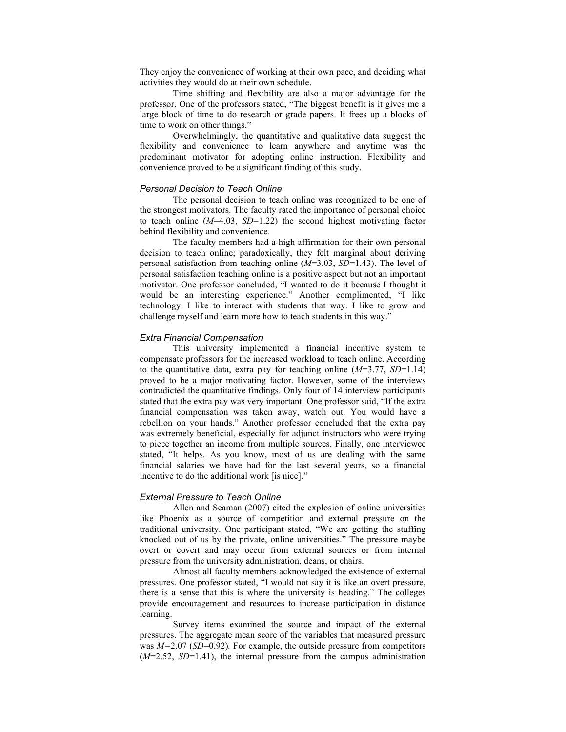They enjoy the convenience of working at their own pace, and deciding what activities they would do at their own schedule.

Time shifting and flexibility are also a major advantage for the professor. One of the professors stated, "The biggest benefit is it gives me a large block of time to do research or grade papers. It frees up a blocks of time to work on other things."

Overwhelmingly, the quantitative and qualitative data suggest the flexibility and convenience to learn anywhere and anytime was the predominant motivator for adopting online instruction. Flexibility and convenience proved to be a significant finding of this study.

#### *Personal Decision to Teach Online*

The personal decision to teach online was recognized to be one of the strongest motivators. The faculty rated the importance of personal choice to teach online (*M*=4.03, *SD*=1.22) the second highest motivating factor behind flexibility and convenience.

The faculty members had a high affirmation for their own personal decision to teach online; paradoxically, they felt marginal about deriving personal satisfaction from teaching online (*M*=3.03, *SD*=1.43). The level of personal satisfaction teaching online is a positive aspect but not an important motivator. One professor concluded, "I wanted to do it because I thought it would be an interesting experience." Another complimented, "I like technology. I like to interact with students that way. I like to grow and challenge myself and learn more how to teach students in this way."

#### *Extra Financial Compensation*

This university implemented a financial incentive system to compensate professors for the increased workload to teach online. According to the quantitative data, extra pay for teaching online (*M*=3.77, *SD*=1.14) proved to be a major motivating factor. However, some of the interviews contradicted the quantitative findings. Only four of 14 interview participants stated that the extra pay was very important. One professor said, "If the extra financial compensation was taken away, watch out. You would have a rebellion on your hands." Another professor concluded that the extra pay was extremely beneficial, especially for adjunct instructors who were trying to piece together an income from multiple sources. Finally, one interviewee stated, "It helps. As you know, most of us are dealing with the same financial salaries we have had for the last several years, so a financial incentive to do the additional work [is nice]."

### *External Pressure to Teach Online*

Allen and Seaman (2007) cited the explosion of online universities like Phoenix as a source of competition and external pressure on the traditional university. One participant stated, "We are getting the stuffing knocked out of us by the private, online universities." The pressure maybe overt or covert and may occur from external sources or from internal pressure from the university administration, deans, or chairs.

Almost all faculty members acknowledged the existence of external pressures. One professor stated, "I would not say it is like an overt pressure, there is a sense that this is where the university is heading." The colleges provide encouragement and resources to increase participation in distance learning.

Survey items examined the source and impact of the external pressures. The aggregate mean score of the variables that measured pressure was *M=*2.07 (*SD*=0.92)*.* For example, the outside pressure from competitors (*M*=2.52, *SD*=1.41), the internal pressure from the campus administration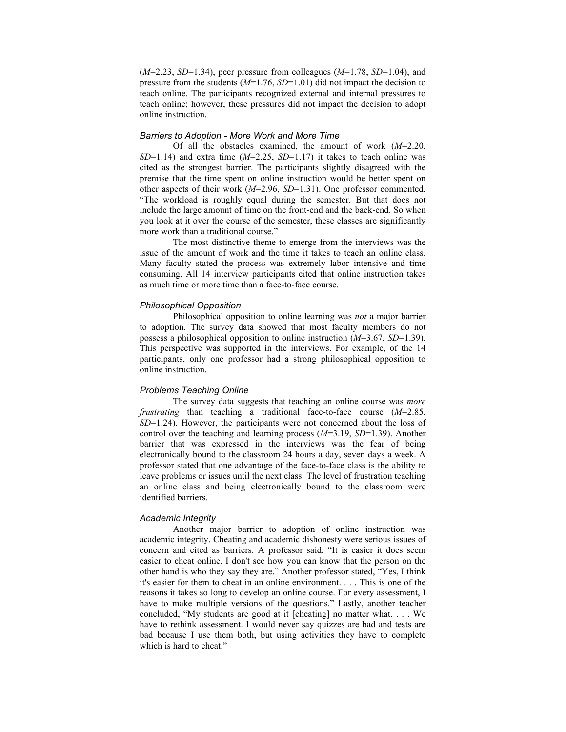(*M*=2.23, *SD*=1.34), peer pressure from colleagues (*M*=1.78, *SD*=1.04), and pressure from the students (*M*=1.76, *SD*=1.01) did not impact the decision to teach online. The participants recognized external and internal pressures to teach online; however, these pressures did not impact the decision to adopt online instruction.

### *Barriers to Adoption - More Work and More Time*

Of all the obstacles examined, the amount of work (*M*=2.20, *SD*=1.14) and extra time (*M*=2.25, *SD*=1.17) it takes to teach online was cited as the strongest barrier. The participants slightly disagreed with the premise that the time spent on online instruction would be better spent on other aspects of their work (*M*=2.96, *SD*=1.31). One professor commented, "The workload is roughly equal during the semester. But that does not include the large amount of time on the front-end and the back-end. So when you look at it over the course of the semester, these classes are significantly more work than a traditional course."

The most distinctive theme to emerge from the interviews was the issue of the amount of work and the time it takes to teach an online class. Many faculty stated the process was extremely labor intensive and time consuming. All 14 interview participants cited that online instruction takes as much time or more time than a face-to-face course.

## *Philosophical Opposition*

Philosophical opposition to online learning was *not* a major barrier to adoption. The survey data showed that most faculty members do not possess a philosophical opposition to online instruction (*M*=3.67, *SD*=1.39). This perspective was supported in the interviews. For example, of the 14 participants, only one professor had a strong philosophical opposition to online instruction.

### *Problems Teaching Online*

The survey data suggests that teaching an online course was *more frustrating* than teaching a traditional face-to-face course (*M*=2.85, *SD*=1.24). However, the participants were not concerned about the loss of control over the teaching and learning process (*M*=3.19, *SD*=1.39). Another barrier that was expressed in the interviews was the fear of being electronically bound to the classroom 24 hours a day, seven days a week. A professor stated that one advantage of the face-to-face class is the ability to leave problems or issues until the next class. The level of frustration teaching an online class and being electronically bound to the classroom were identified barriers.

# *Academic Integrity*

Another major barrier to adoption of online instruction was academic integrity. Cheating and academic dishonesty were serious issues of concern and cited as barriers. A professor said, "It is easier it does seem easier to cheat online. I don't see how you can know that the person on the other hand is who they say they are." Another professor stated, "Yes, I think it's easier for them to cheat in an online environment. . . . This is one of the reasons it takes so long to develop an online course. For every assessment, I have to make multiple versions of the questions." Lastly, another teacher concluded, "My students are good at it [cheating] no matter what. . . . We have to rethink assessment. I would never say quizzes are bad and tests are bad because I use them both, but using activities they have to complete which is hard to cheat."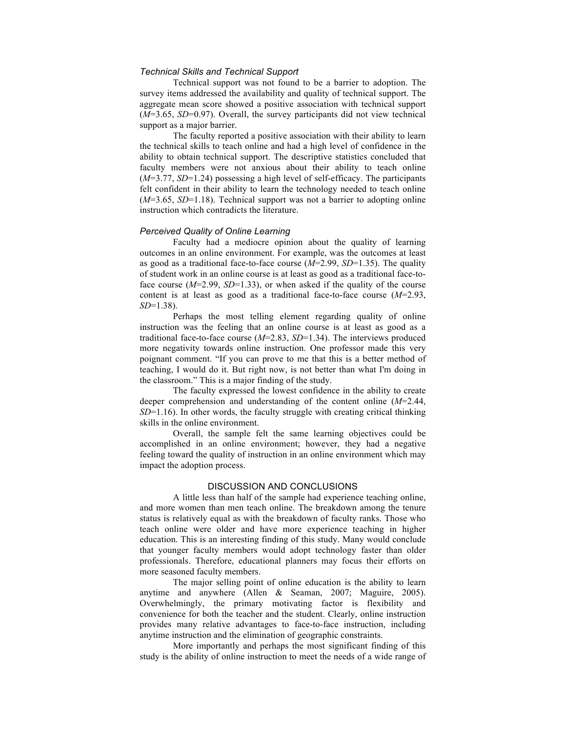# *Technical Skills and Technical Support*

Technical support was not found to be a barrier to adoption. The survey items addressed the availability and quality of technical support. The aggregate mean score showed a positive association with technical support (*M*=3.65, *SD*=0.97). Overall, the survey participants did not view technical support as a major barrier.

The faculty reported a positive association with their ability to learn the technical skills to teach online and had a high level of confidence in the ability to obtain technical support. The descriptive statistics concluded that faculty members were not anxious about their ability to teach online (*M*=3.77, *SD*=1.24) possessing a high level of self-efficacy. The participants felt confident in their ability to learn the technology needed to teach online (*M*=3.65, *SD*=1.18). Technical support was not a barrier to adopting online instruction which contradicts the literature.

#### *Perceived Quality of Online Learning*

Faculty had a mediocre opinion about the quality of learning outcomes in an online environment. For example, was the outcomes at least as good as a traditional face-to-face course (*M*=2.99, *SD*=1.35). The quality of student work in an online course is at least as good as a traditional face-toface course (*M*=2.99, *SD*=1.33), or when asked if the quality of the course content is at least as good as a traditional face-to-face course (*M*=2.93, *SD*=1.38).

Perhaps the most telling element regarding quality of online instruction was the feeling that an online course is at least as good as a traditional face-to-face course (*M*=2.83, *SD*=1.34). The interviews produced more negativity towards online instruction. One professor made this very poignant comment. "If you can prove to me that this is a better method of teaching, I would do it. But right now, is not better than what I'm doing in the classroom." This is a major finding of the study.

The faculty expressed the lowest confidence in the ability to create deeper comprehension and understanding of the content online (*M*=2.44, *SD*=1.16). In other words, the faculty struggle with creating critical thinking skills in the online environment.

Overall, the sample felt the same learning objectives could be accomplished in an online environment; however, they had a negative feeling toward the quality of instruction in an online environment which may impact the adoption process.

# DISCUSSION AND CONCLUSIONS

A little less than half of the sample had experience teaching online, and more women than men teach online. The breakdown among the tenure status is relatively equal as with the breakdown of faculty ranks. Those who teach online were older and have more experience teaching in higher education. This is an interesting finding of this study. Many would conclude that younger faculty members would adopt technology faster than older professionals. Therefore, educational planners may focus their efforts on more seasoned faculty members.

The major selling point of online education is the ability to learn anytime and anywhere (Allen & Seaman, 2007; Maguire, 2005). Overwhelmingly, the primary motivating factor is flexibility and convenience for both the teacher and the student. Clearly, online instruction provides many relative advantages to face-to-face instruction, including anytime instruction and the elimination of geographic constraints.

More importantly and perhaps the most significant finding of this study is the ability of online instruction to meet the needs of a wide range of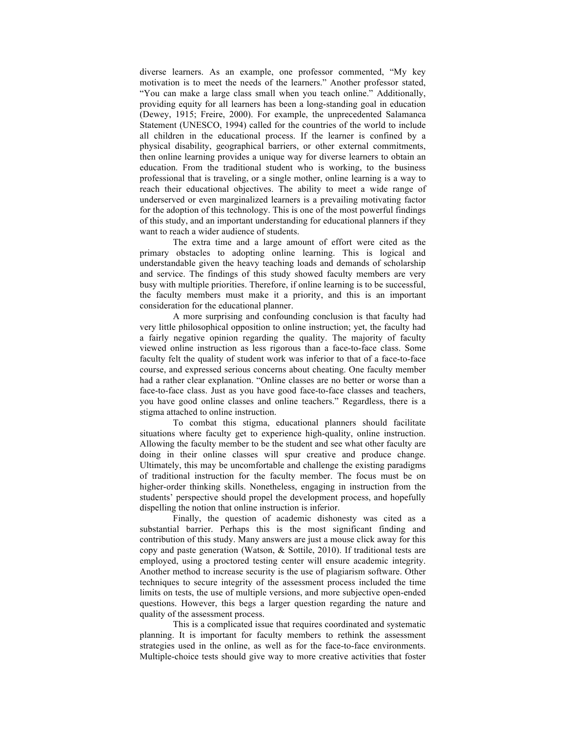diverse learners. As an example, one professor commented, "My key motivation is to meet the needs of the learners." Another professor stated, "You can make a large class small when you teach online." Additionally, providing equity for all learners has been a long-standing goal in education (Dewey, 1915; Freire, 2000). For example, the unprecedented Salamanca Statement (UNESCO, 1994) called for the countries of the world to include all children in the educational process. If the learner is confined by a physical disability, geographical barriers, or other external commitments, then online learning provides a unique way for diverse learners to obtain an education. From the traditional student who is working, to the business professional that is traveling, or a single mother, online learning is a way to reach their educational objectives. The ability to meet a wide range of underserved or even marginalized learners is a prevailing motivating factor for the adoption of this technology. This is one of the most powerful findings of this study, and an important understanding for educational planners if they want to reach a wider audience of students.

The extra time and a large amount of effort were cited as the primary obstacles to adopting online learning. This is logical and understandable given the heavy teaching loads and demands of scholarship and service. The findings of this study showed faculty members are very busy with multiple priorities. Therefore, if online learning is to be successful, the faculty members must make it a priority, and this is an important consideration for the educational planner.

A more surprising and confounding conclusion is that faculty had very little philosophical opposition to online instruction; yet, the faculty had a fairly negative opinion regarding the quality. The majority of faculty viewed online instruction as less rigorous than a face-to-face class. Some faculty felt the quality of student work was inferior to that of a face-to-face course, and expressed serious concerns about cheating. One faculty member had a rather clear explanation. "Online classes are no better or worse than a face-to-face class. Just as you have good face-to-face classes and teachers, you have good online classes and online teachers." Regardless, there is a stigma attached to online instruction.

To combat this stigma, educational planners should facilitate situations where faculty get to experience high-quality, online instruction. Allowing the faculty member to be the student and see what other faculty are doing in their online classes will spur creative and produce change. Ultimately, this may be uncomfortable and challenge the existing paradigms of traditional instruction for the faculty member. The focus must be on higher-order thinking skills. Nonetheless, engaging in instruction from the students' perspective should propel the development process, and hopefully dispelling the notion that online instruction is inferior.

Finally, the question of academic dishonesty was cited as a substantial barrier. Perhaps this is the most significant finding and contribution of this study. Many answers are just a mouse click away for this copy and paste generation (Watson, & Sottile, 2010). If traditional tests are employed, using a proctored testing center will ensure academic integrity. Another method to increase security is the use of plagiarism software. Other techniques to secure integrity of the assessment process included the time limits on tests, the use of multiple versions, and more subjective open-ended questions. However, this begs a larger question regarding the nature and quality of the assessment process.

This is a complicated issue that requires coordinated and systematic planning. It is important for faculty members to rethink the assessment strategies used in the online, as well as for the face-to-face environments. Multiple-choice tests should give way to more creative activities that foster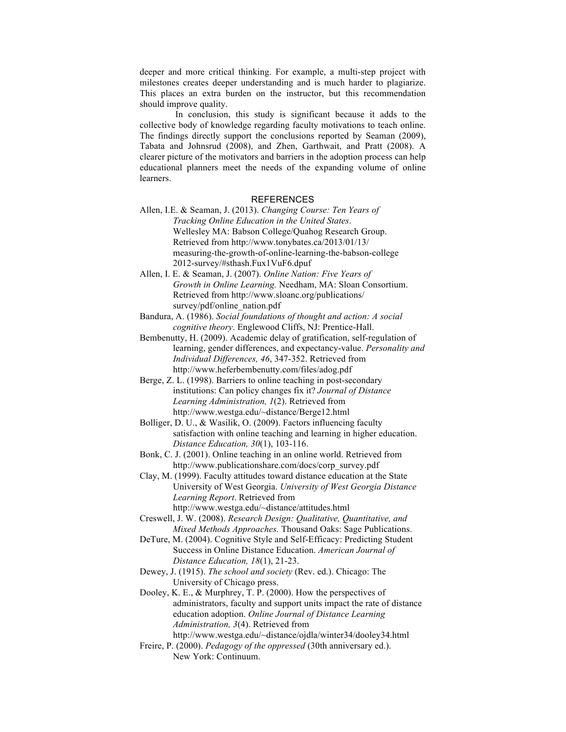deeper and more critical thinking. For example, a multi-step project with milestones creates deeper understanding and is much harder to plagiarize. This places an extra burden on the instructor, but this recommendation should improve quality.

In conclusion, this study is significant because it adds to the collective body of knowledge regarding faculty motivations to teach online. The findings directly support the conclusions reported by Seaman (2009), Tabata and Johnsrud (2008), and Zhen, Garthwait, and Pratt (2008). A clearer picture of the motivators and barriers in the adoption process can help educational planners meet the needs of the expanding volume of online learners.

### REFERENCES

- Allen, I.E. & Seaman, J. (2013). *Changing Course: Ten Years of Tracking Online Education in the United States*. Wellesley MA: Babson College/Quahog Research Group. Retrieved from http://www.tonybates.ca/2013/01/13/ measuring-the-growth-of-online-learning-the-babson-college 2012-survey/#sthash.Fux1VuF6.dpuf
- Allen, I. E. & Seaman, J. (2007). *Online Nation: Five Years of Growth in Online Learning.* Needham, MA: Sloan Consortium. Retrieved from http://www.sloanc.org/publications/ survey/pdf/online\_nation.pdf
- Bandura, A. (1986). *Social foundations of thought and action: A social cognitive theory*. Englewood Cliffs, NJ: Prentice-Hall.
- Bembenutty, H. (2009). Academic delay of gratification, self-regulation of learning, gender differences, and expectancy-value. *Personality and Individual Differences, 46*, 347-352. Retrieved from http://www.heferbembenutty.com/files/adog.pdf
- Berge, Z. L. (1998). Barriers to online teaching in post-secondary institutions: Can policy changes fix it? *Journal of Distance Learning Administration, 1*(2). Retrieved from http://www.westga.edu/~distance/Berge12.html
- Bolliger, D. U., & Wasilik, O. (2009). Factors influencing faculty satisfaction with online teaching and learning in higher education. *Distance Education, 30*(1), 103-116.
- Bonk, C. J. (2001). Online teaching in an online world. Retrieved from http://www.publicationshare.com/docs/corp\_survey.pdf
- Clay, M. (1999). Faculty attitudes toward distance education at the State University of West Georgia. *University of West Georgia Distance Learning Report*. Retrieved from http://www.westga.edu/~distance/attitudes.html
- Creswell, J. W. (2008). *Research Design: Qualitative, Quantitative, and Mixed Methods Approaches.* Thousand Oaks: Sage Publications.
- DeTure, M. (2004). Cognitive Style and Self-Efficacy: Predicting Student Success in Online Distance Education. *American Journal of Distance Education, 18*(1), 21-23.
- Dewey, J. (1915). *The school and society* (Rev. ed.). Chicago: The University of Chicago press.
- Dooley, K. E., & Murphrey, T. P. (2000). How the perspectives of administrators, faculty and support units impact the rate of distance education adoption. *Online Journal of Distance Learning Administration, 3*(4). Retrieved from http://www.westga.edu/~distance/ojdla/winter34/dooley34.html
- Freire, P. (2000). *Pedagogy of the oppressed* (30th anniversary ed.). New York: Continuum.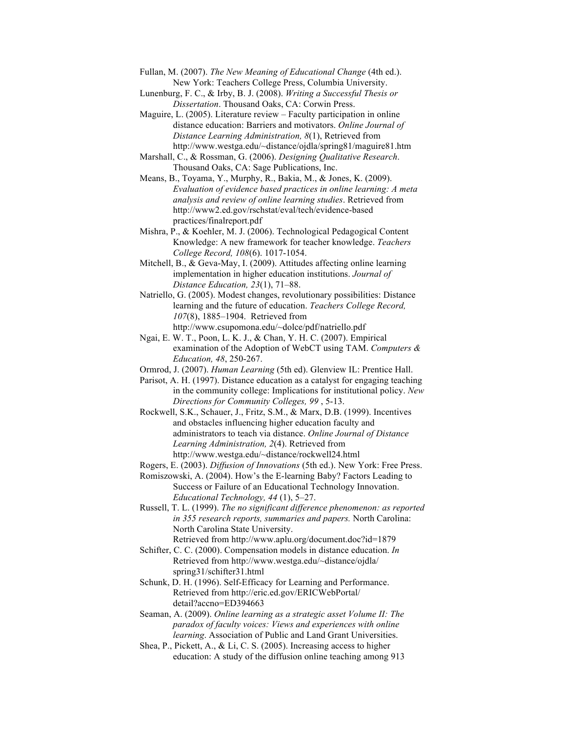- Fullan, M. (2007). *The New Meaning of Educational Change* (4th ed.). New York: Teachers College Press, Columbia University.
- Lunenburg, F. C., & Irby, B. J. (2008). *Writing a Successful Thesis or Dissertation*. Thousand Oaks, CA: Corwin Press.
- Maguire, L. (2005). Literature review Faculty participation in online distance education: Barriers and motivators. *Online Journal of Distance Learning Administration, 8*(1), Retrieved from http://www.westga.edu/~distance/ojdla/spring81/maguire81.htm
- Marshall, C., & Rossman, G. (2006). *Designing Qualitative Research*. Thousand Oaks, CA: Sage Publications, Inc.
- Means, B., Toyama, Y., Murphy, R., Bakia, M., & Jones, K. (2009). *Evaluation of evidence based practices in online learning: A meta analysis and review of online learning studies*. Retrieved from http://www2.ed.gov/rschstat/eval/tech/evidence-based practices/finalreport.pdf
- Mishra, P., & Koehler, M. J. (2006). Technological Pedagogical Content Knowledge: A new framework for teacher knowledge. *Teachers College Record, 108*(6). 1017-1054.
- Mitchell, B., & Geva-May, I. (2009). Attitudes affecting online learning implementation in higher education institutions. *Journal of Distance Education, 23*(1), 71–88.
- Natriello, G. (2005). Modest changes, revolutionary possibilities: Distance learning and the future of education. *Teachers College Record, 107*(8), 1885–1904. Retrieved from http://www.csupomona.edu/~dolce/pdf/natriello.pdf
- Ngai, E. W. T., Poon, L. K. J., & Chan, Y. H. C. (2007). Empirical examination of the Adoption of WebCT using TAM. *Computers & Education, 48*, 250-267.
- Ormrod, J. (2007). *Human Learning* (5th ed). Glenview IL: Prentice Hall.
- Parisot, A. H. (1997). Distance education as a catalyst for engaging teaching in the community college: Implications for institutional policy. *New Directions for Community Colleges, 99* , 5-13.
- Rockwell, S.K., Schauer, J., Fritz, S.M., & Marx, D.B. (1999). Incentives and obstacles influencing higher education faculty and administrators to teach via distance. *Online Journal of Distance Learning Administration, 2*(4). Retrieved from http://www.westga.edu/~distance/rockwell24.html
- Rogers, E. (2003). *Diffusion of Innovations* (5th ed.). New York: Free Press.
- Romiszowski, A. (2004). How's the E-learning Baby? Factors Leading to Success or Failure of an Educational Technology Innovation. *Educational Technology, 44* (1), 5–27.
- Russell, T. L. (1999). *The no significant difference phenomenon: as reported in 355 research reports, summaries and papers.* North Carolina: North Carolina State University. Retrieved from http://www.aplu.org/document.doc?id=1879
- Schifter, C. C. (2000). Compensation models in distance education. *In* Retrieved from http://www.westga.edu/~distance/ojdla/ spring31/schifter31.html
- Schunk, D. H. (1996). Self-Efficacy for Learning and Performance. Retrieved from http://eric.ed.gov/ERICWebPortal/ detail?accno=ED394663
- Seaman, A. (2009). *Online learning as a strategic asset Volume II: The paradox of faculty voices: Views and experiences with online learning*. Association of Public and Land Grant Universities.
- Shea, P., Pickett, A., & Li, C. S. (2005). Increasing access to higher education: A study of the diffusion online teaching among 913